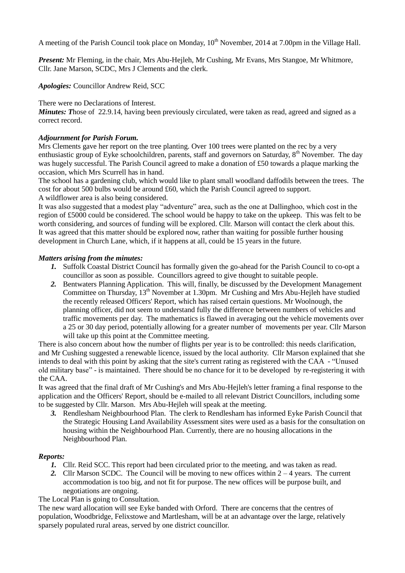A meeting of the Parish Council took place on Monday,  $10^{th}$  November, 2014 at 7.00pm in the Village Hall.

*Present:* Mr Fleming, in the chair, Mrs Abu-Hejleh, Mr Cushing, Mr Evans, Mrs Stangoe, Mr Whitmore, Cllr. Jane Marson, SCDC, Mrs J Clements and the clerk.

*Apologies:* Councillor Andrew Reid, SCC

There were no Declarations of Interest.

*Minutes: Those of 22.9.14, having been previously circulated, were taken as read, agreed and signed as a* correct record.

### *Adjournment for Parish Forum.*

Mrs Clements gave her report on the tree planting. Over 100 trees were planted on the rec by a very enthusiastic group of Eyke schoolchildren, parents, staff and governors on Saturday, 8<sup>th</sup> November. The day was hugely successful. The Parish Council agreed to make a donation of £50 towards a plaque marking the occasion, which Mrs Scurrell has in hand.

The school has a gardening club, which would like to plant small woodland daffodils between the trees. The cost for about 500 bulbs would be around £60, which the Parish Council agreed to support. A wildflower area is also being considered.

It was also suggested that a modest play "adventure" area, such as the one at Dallinghoo, which cost in the region of £5000 could be considered. The school would be happy to take on the upkeep. This was felt to be worth considering, and sources of funding will be explored. Cllr. Marson will contact the clerk about this. It was agreed that this matter should be explored now, rather than waiting for possible further housing development in Church Lane, which, if it happens at all, could be 15 years in the future.

## *Matters arising from the minutes:*

- *1.* Suffolk Coastal District Council has formally given the go-ahead for the Parish Council to co-opt a councillor as soon as possible. Councillors agreed to give thought to suitable people.
- *2.* Bentwaters Planning Application. This will, finally, be discussed by the Development Management Committee on Thursday, 13<sup>th</sup> November at 1.30pm. Mr Cushing and Mrs Abu-Heileh have studied the recently released Officers' Report, which has raised certain questions. Mr Woolnough, the planning officer, did not seem to understand fully the difference between numbers of vehicles and traffic movements per day. The mathematics is flawed in averaging out the vehicle movements over a 25 or 30 day period, potentially allowing for a greater number of movements per year. Cllr Marson will take up this point at the Committee meeting.

There is also concern about how the number of flights per year is to be controlled: this needs clarification, and Mr Cushing suggested a renewable licence, issued by the local authority. Cllr Marson explained that she intends to deal with this point by asking that the site's current rating as registered with the CAA - "Unused old military base" - is maintained. There should be no chance for it to be developed by re-registering it with the CAA.

It was agreed that the final draft of Mr Cushing's and Mrs Abu-Hejleh's letter framing a final response to the application and the Officers' Report, should be e-mailed to all relevant District Councillors, including some to be suggested by Cllr. Marson. Mrs Abu-Hejleh will speak at the meeting.

*3.* Rendlesham Neighbourhood Plan. The clerk to Rendlesham has informed Eyke Parish Council that the Strategic Housing Land Availability Assessment sites were used as a basis for the consultation on housing within the Neighbourhood Plan. Currently, there are no housing allocations in the Neighbourhood Plan.

### *Reports:*

- *1.* Cllr. Reid SCC. This report had been circulated prior to the meeting, and was taken as read.
- 2. Cllr Marson SCDC. The Council will be moving to new offices within  $2 4$  years. The current accommodation is too big, and not fit for purpose. The new offices will be purpose built, and negotiations are ongoing.

### The Local Plan is going to Consultation.

The new ward allocation will see Eyke banded with Orford. There are concerns that the centres of population, Woodbridge, Felixstowe and Martlesham, will be at an advantage over the large, relatively sparsely populated rural areas, served by one district councillor.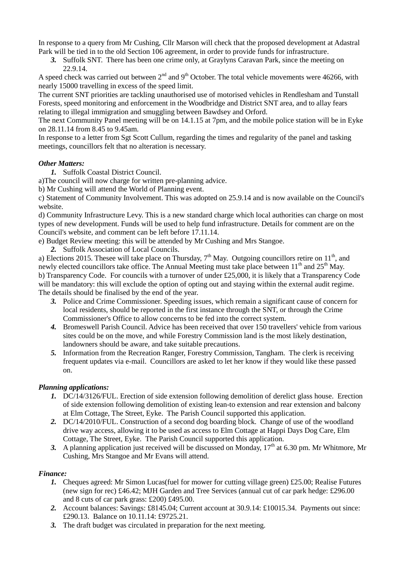In response to a query from Mr Cushing, Cllr Marson will check that the proposed development at Adastral Park will be tied in to the old Section 106 agreement, in order to provide funds for infrastructure.

*3.* Suffolk SNT. There has been one crime only, at Graylyns Caravan Park, since the meeting on 22.9.14.

A speed check was carried out between  $2<sup>nd</sup>$  and  $9<sup>th</sup>$  October. The total vehicle movements were 46266, with nearly 15000 travelling in excess of the speed limit.

The current SNT priorities are tackling unauthorised use of motorised vehicles in Rendlesham and Tunstall Forests, speed monitoring and enforcement in the Woodbridge and District SNT area, and to allay fears relating to illegal immigration and smuggling between Bawdsey and Orford.

The next Community Panel meeting will be on 14.1.15 at 7pm, and the mobile police station will be in Eyke on 28.11.14 from 8.45 to 9.45am.

In response to a letter from Sgt Scott Cullum, regarding the times and regularity of the panel and tasking meetings, councillors felt that no alteration is necessary.

## *Other Matters:*

*1.* Suffolk Coastal District Council.

a)The council will now charge for written pre-planning advice.

b) Mr Cushing will attend the World of Planning event.

c) Statement of Community Involvement. This was adopted on 25.9.14 and is now available on the Council's website.

d) Community Infrastructure Levy. This is a new standard charge which local authorities can charge on most types of new development. Funds will be used to help fund infrastructure. Details for comment are on the Council's website, and comment can be left before 17.11.14.

e) Budget Review meeting: this will be attended by Mr Cushing and Mrs Stangoe.

*2.* Suffolk Association of Local Councils.

a) Elections 2015. Thesee will take place on Thursday,  $7<sup>th</sup>$  May. Outgoing councillors retire on 11<sup>th</sup>, and newly elected councillors take office. The Annual Meeting must take place between  $11<sup>th</sup>$  and  $25<sup>th</sup>$  May. b) Transparency Code. For councils with a turnover of under £25,000, it is likely that a Transparency Code will be mandatory: this will exclude the option of opting out and staying within the external audit regime. The details should be finalised by the end of the year.

- *3.* Police and Crime Commissioner. Speeding issues, which remain a significant cause of concern for local residents, should be reported in the first instance through the SNT, or through the Crime Commissioner's Office to allow concerns to be fed into the correct system.
- *4.* Bromeswell Parish Council. Advice has been received that over 150 travellers' vehicle from various sites could be on the move, and while Forestry Commission land is the most likely destination, landowners should be aware, and take suitable precautions.
- *5.* Information from the Recreation Ranger, Forestry Commission, Tangham. The clerk is receiving frequent updates via e-mail. Councillors are asked to let her know if they would like these passed on.

# *Planning applications:*

- *1.* DC/14/3126/FUL. Erection of side extension following demolition of derelict glass house. Erection of side extension following demolition of existing lean-to extension and rear extension and balcony at Elm Cottage, The Street, Eyke. The Parish Council supported this application.
- *2.* DC/14/2010/FUL. Construction of a second dog boarding block. Change of use of the woodland drive way access, allowing it to be used as access to Elm Cottage at Happi Days Dog Care, Elm Cottage, The Street, Eyke. The Parish Council supported this application.
- 3. A planning application just received will be discussed on Monday,  $17<sup>th</sup>$  at 6.30 pm. Mr Whitmore, Mr Cushing, Mrs Stangoe and Mr Evans will attend.

### *Finance:*

- *1.* Cheques agreed: Mr Simon Lucas(fuel for mower for cutting village green) £25.00; Realise Futures (new sign for rec) £46.42; MJH Garden and Tree Services (annual cut of car park hedge: £296.00 and 8 cuts of car park grass: £200) £495.00.
- *2.* Account balances: Savings: £8145.04; Current account at 30.9.14: £10015.34. Payments out since: £290.13. Balance on 10.11.14: £9725.21.
- *3.* The draft budget was circulated in preparation for the next meeting.